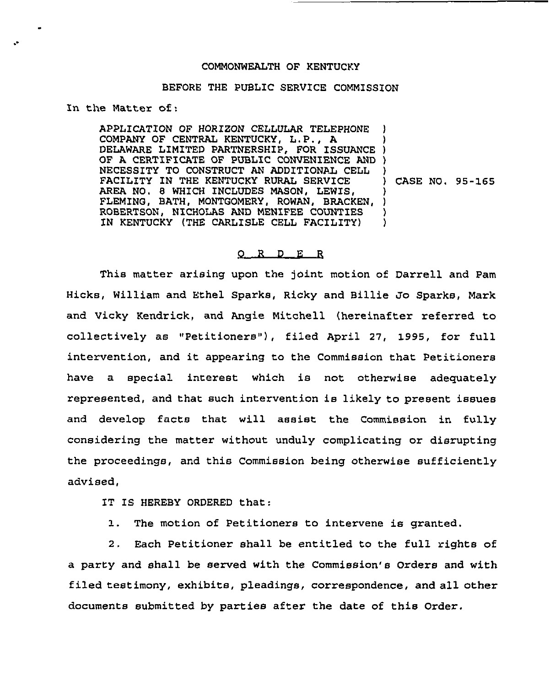## COMMONWEALTH OF KENTUCKY

## BEFORE THE PUBLIC SERVICE COMMZSSION

In the Matter of:

APPLICATION OF HORIZON CELLULAR TELEPHONE COMPANY OF CENTRAL KENTUCKY, L.P., <sup>A</sup> COMPANI OF CENTRAL RENTUCKI, L.P., A.<br>DELAWARE LIMITED PARTNERSHIP, FOR ISSUANCE ) OF A CERTIFICATE OF PUBLIC CONVENIENCE AND ) NECESSITY TO CONSTRUCT AN ADDITIONAL CELL FACILITY IN THE KENTUCKY RURAL SERVICE AREA NO. 8 WHICH INCLUDES MASON, LEWIS, AREA NO. 6 WHICH INCLUDES MASON, LEWIS, ,<br>FLEMING, BATH, MONTGOMERY, ROWAN, BRACKEN, ) ROBERTSON, NICHOLAS AND MENIFEE COUNTIES IN KENTUCKY (THE CARLISLE CELL FACILITY) ) ) ) ) CASE NO. 95-165 ) ) )

## 0 <sup>R</sup> <sup>D</sup> E R

This matter arising upon the joint motion of Darrell and Pam Hicks, William and Ethel Sparks, Ricky and Billie Jo Sparks, Mark and Vicky Kendrick, and Angie Mitchell (hereinafter referred to collectively as "Petitioners"), filed April 27, 1995, for full intervention, and it appearing to the Commission that Petitioners have a special interest which is not otherwise adequately represented, and that such intervention is likely to present issues and develop facts that will assist the Commission in fully considering the matter without unduly complicating or disrupting the proceedings, and this Commission being otherwise sufficiently advised,

IT IS HEREBY ORDERED that:

1. The motion of Petitioners to intervene is granted.

2. Each Petitioner shall be entitled to the full rights of a party and shall be served with the Commission's Orders and with filed testimony, exhibits, pleadings, correspondence, and all other documents submitted by parties after the date of this Order.